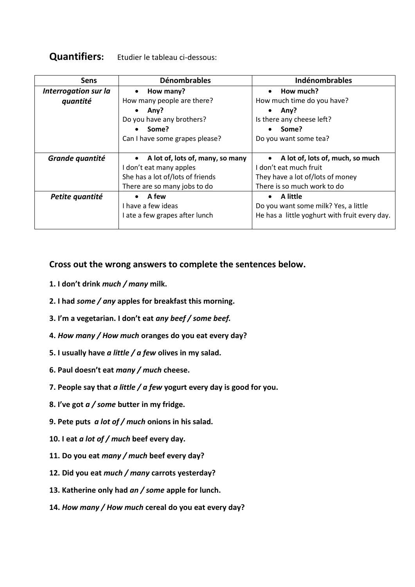## **Quantifiers:** Etudier le tableau ci-dessous:

| <b>Sens</b>                 | <b>Dénombrables</b>              | Indénombrables                                |
|-----------------------------|----------------------------------|-----------------------------------------------|
| <b>Interrogation sur la</b> | How many?<br>$\bullet$           | How much?<br>$\bullet$                        |
| quantité                    | How many people are there?       | How much time do you have?                    |
|                             | Any?                             | Any?                                          |
|                             | Do you have any brothers?        | Is there any cheese left?                     |
|                             | Some?                            | Some?                                         |
|                             | Can I have some grapes please?   | Do you want some tea?                         |
|                             |                                  |                                               |
| Grande quantité             | A lot of, lots of, many, so many | A lot of, lots of, much, so much              |
|                             | I don't eat many apples          | I don't eat much fruit                        |
|                             | She has a lot of/lots of friends | They have a lot of/lots of money              |
|                             | There are so many jobs to do     | There is so much work to do                   |
| Petite quantité             | $\bullet$ A few                  | A little                                      |
|                             | have a few ideas                 | Do you want some milk? Yes, a little          |
|                             | l ate a few grapes after lunch   | He has a little yoghurt with fruit every day. |
|                             |                                  |                                               |

## **Cross out the wrong answers to complete the sentences below.**

- **1. I don't drink** *much / many* **milk.**
- **2. I had** *some / any* **apples for breakfast this morning.**
- **3. I'm a vegetarian. I don't eat** *any beef / some beef.*
- **4.** *How many / How much* **oranges do you eat every day?**
- **5. I usually have** *a little / a few* **olives in my salad.**
- **6. Paul doesn't eat** *many / much* **cheese.**
- **7. People say that** *a little / a few* **yogurt every day is good for you.**
- **8. I've got** *a / some* **butter in my fridge.**
- **9. Pete puts** *a lot of / much* **onions in his salad.**
- **10. I eat** *a lot of / much* **beef every day.**
- **11. Do you eat** *many / much* **beef every day?**
- **12. Did you eat** *much / many* **carrots yesterday?**
- **13. Katherine only had** *an / some* **apple for lunch.**
- **14.** *How many / How much* **cereal do you eat every day?**